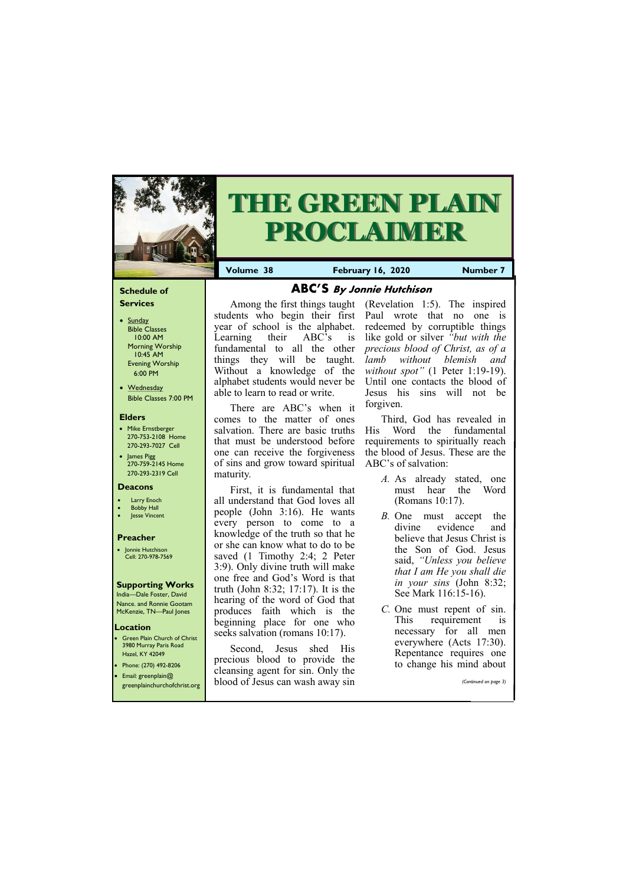## **Schedule of Services**

- Sunday Bible Classes 10:00 AM Morning Worship 10:45 AM Evening Worship 6:00 PM
- Wednesday Bible Classes 7:00 PM

## **Elders**

**Green Plain Church of Christ** 3980 Murray Paris Road Hazel, KY 42049 • Phone: (270) 492-8206

- Mike Ernstberger 270-753-2108 Home 270-293-7027 Cell
- James Pigg 270-759-2145 Home 270-293-2319 Cell

#### **Location**



# **THE GREEN PLAIN PROCLAIMER**

**Volume 38 February 16, 2020 Mumber 7** 

#### **Deacons**

- **Larry Enoch**
- **Bobby Hall**
- **Jesse Vincent**

## **Preacher**

• Jonnie Hutchison Cell: 270-978-7569

#### **Supporting Works**

India—Dale Foster, David Nance. and Ronnie Gootam McKenzie, TN—Paul Jones

# **ABC'S By Jonnie Hutchison**

year of school is the alphabet. Learning their  $ABC$ 's Without a knowledge of the alphabet students would never be able to learn to read or write.

There are ABC's when it comes to the matter of ones salvation. There are basic truths that must be understood before one can receive the forgiveness of sins and grow toward spiritual maturity.

Among the first things taught (Revelation 1:5). The inspired students who begin their first Paul wrote that no one is fundamental to all the other *precious blood of Christ, as of a*  things they will be taught. *lamb without blemish and*  redeemed by corruptible things like gold or silver *"but with the without spot"* (1 Peter 1:19-19). Until one contacts the blood of Jesus his sins will not be forgiven.

First, it is fundamental that all understand that God loves all people (John 3:16). He wants every person to come to a knowledge of the truth so that he or she can know what to do to be saved (1 Timothy 2:4; 2 Peter 3:9). Only divine truth will make one free and God's Word is that truth (John 8:32; 17:17). It is the hearing of the word of God that produces faith which is the beginning place for one who seeks salvation (romans 10:17).

| $\bullet$ THURE, (27V) T72-0200<br>Email: greenplain@ | cleansing agent for sin. Only the | to change ms minut about |
|-------------------------------------------------------|-----------------------------------|--------------------------|
| greenplainchurchofchrist.org                          | blood of Jesus can wash away sin  | (Continued on page 3)    |
|                                                       |                                   |                          |

Second, Jesus shed His precious blood to provide the

Third, God has revealed in His Word the fundamental requirements to spiritually reach the blood of Jesus. These are the ABC's of salvation:

- *A.* As already stated, one must hear the Word (Romans 10:17).
- *B.* One must accept the divine evidence and believe that Jesus Christ is the Son of God. Jesus said, *"Unless you believe that I am He you shall die in your sins* (John 8:32; See Mark 116:15-16).
- *C.* One must repent of sin. This requirement is necessary for all men everywhere (Acts 17:30). Repentance requires one to change his mind about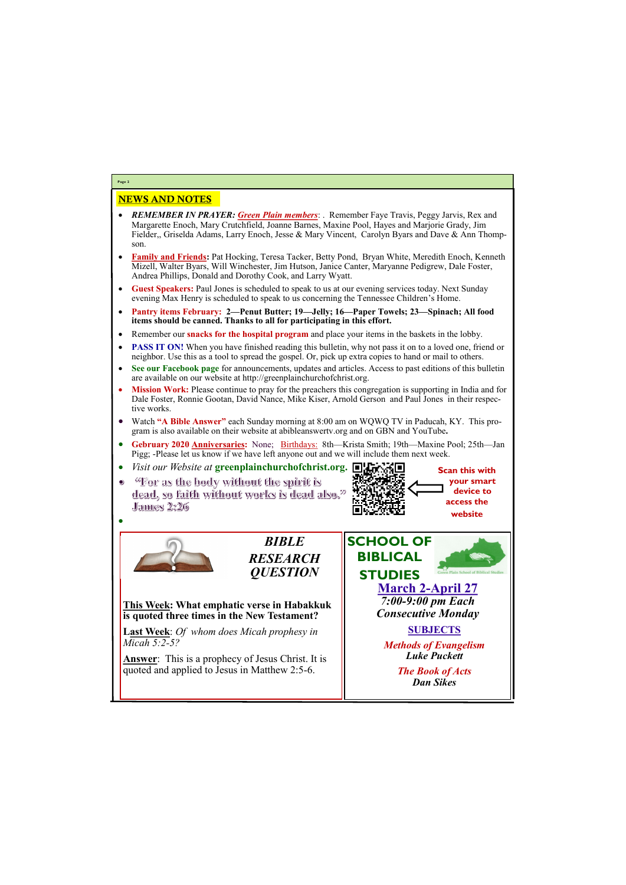# NEWS AND NOTES

- *REMEMBER IN PRAYER: Green Plain members*: . Remember Faye Travis, Peggy Jarvis, Rex and Margarette Enoch, Mary Crutchfield, Joanne Barnes, Maxine Pool, Hayes and Marjorie Grady, Jim Fielder,, Griselda Adams, Larry Enoch, Jesse & Mary Vincent, Carolyn Byars and Dave & Ann Thompson.
- **Family and Friends:** Pat Hocking, Teresa Tacker, Betty Pond, Bryan White, Meredith Enoch, Kenneth Mizell, Walter Byars, Will Winchester, Jim Hutson, Janice Canter, Maryanne Pedigrew, Dale Foster, Andrea Phillips, Donald and Dorothy Cook, and Larry Wyatt.
- **Guest Speakers:** Paul Jones is scheduled to speak to us at our evening services today. Next Sunday evening Max Henry is scheduled to speak to us concerning the Tennessee Children's Home.
- **Pantry items February: 2—Penut Butter; 19—Jelly; 16—Paper Towels; 23—Spinach; All food items should be canned. Thanks to all for participating in this effort.**
- Remember our **snacks for the hospital program** and place your items in the baskets in the lobby.
- **PASS IT ON!** When you have finished reading this bulletin, why not pass it on to a loved one, friend or neighbor. Use this as a tool to spread the gospel. Or, pick up extra copies to hand or mail to others.
- **See our Facebook page** for announcements, updates and articles. Access to past editions of this bulletin are available on our website at http://greenplainchurchofchrist.org.
- **Mission Work:** Please continue to pray for the preachers this congregation is supporting in India and for Dale Foster, Ronnie Gootan, David Nance, Mike Kiser, Arnold Gerson and Paul Jones in their respective works.
- Watch **"A Bible Answer"** each Sunday morning at 8:00 am on WQWQ TV in Paducah, KY. This program is also available on their website at abibleanswertv.org and on GBN and YouTube**.**
- **Gebruary 2020 Anniversaries:** None; Birthdays: 8th—Krista Smith; 19th—Maxine Pool; 25th—Jan Pigg; -Please let us know if we have left anyone out and we will include them next week.
- *Visit our Website at* **greenplainchurchofchrist.org.**
- <sup>66</sup>For as the body without the spirit is dead, so faith without works is dead also." **James 2:26**



•

**Page 2**

*BIBLE RESEARCH QUESTION*

**This Week: What emphatic verse in Habakkuk is quoted three times in the New Testament?**

**Last Week**: *Of whom does Micah prophesy in Micah 5:2-5?*

**Answer**: This is a prophecy of Jesus Christ. It is quoted and applied to Jesus in Matthew 2:5-6. *The Book of Acts*



*Dan Sikes*

**Scan this with your smart device to access the website**

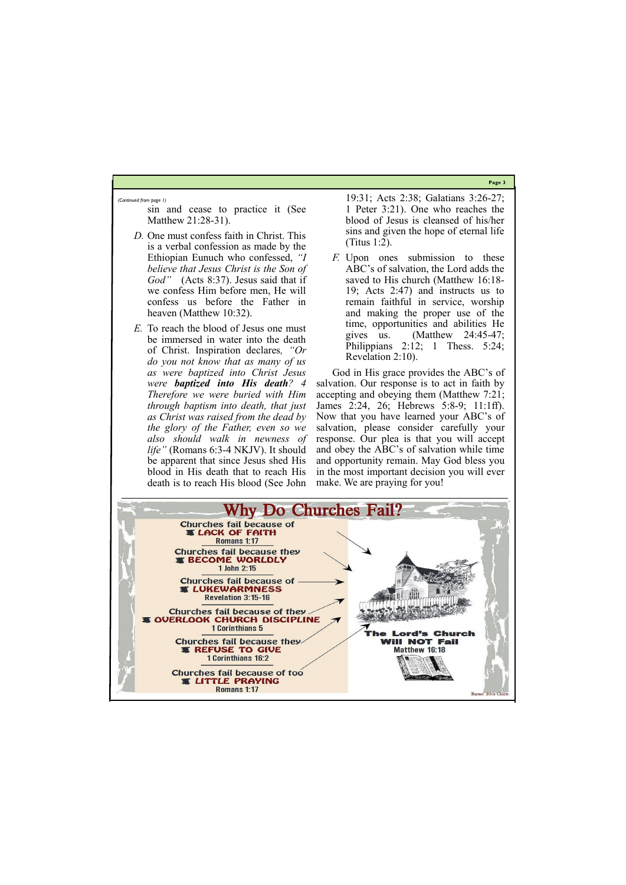**Page 3**





sin and cease to practice it (See Matthew 21:28-31).

- *D.* One must confess faith in Christ. This is a verbal confession as made by the Ethiopian Eunuch who confessed, *"I believe that Jesus Christ is the Son of God"* (Acts 8:37). Jesus said that if we confess Him before men, He will confess us before the Father in heaven (Matthew 10:32).
- *E.* To reach the blood of Jesus one must be immersed in water into the death of Christ. Inspiration declares*, "Or do you not know that as many of us as were baptized into Christ Jesus were baptized into His death? 4 Therefore we were buried with Him through baptism into death, that just as Christ was raised from the dead by the glory of the Father, even so we also should walk in newness of life"* (Romans 6:3-4 NKJV). It should be apparent that since Jesus shed His blood in His death that to reach His death is to reach His blood (See John

19:31; Acts 2:38; Galatians 3:26-27; 1 Peter 3:21). One who reaches the blood of Jesus is cleansed of his/her sins and given the hope of eternal life (Titus 1:2).

*F.* Upon ones submission to these ABC's of salvation, the Lord adds the saved to His church (Matthew 16:18- 19; Acts 2:47) and instructs us to remain faithful in service, worship and making the proper use of the time, opportunities and abilities He gives us. (Matthew 24:45-47; Philippians 2:12; 1 Thess. 5:24; Revelation 2:10).

God in His grace provides the ABC's of salvation. Our response is to act in faith by accepting and obeying them (Matthew 7:21; James 2:24, 26; Hebrews 5:8-9; 11:1ff). Now that you have learned your ABC's of salvation, please consider carefully your response. Our plea is that you will accept and obey the ABC's of salvation while time and opportunity remain. May God bless you in the most important decision you will ever make. We are praying for you!



*(Continued from page 1)*